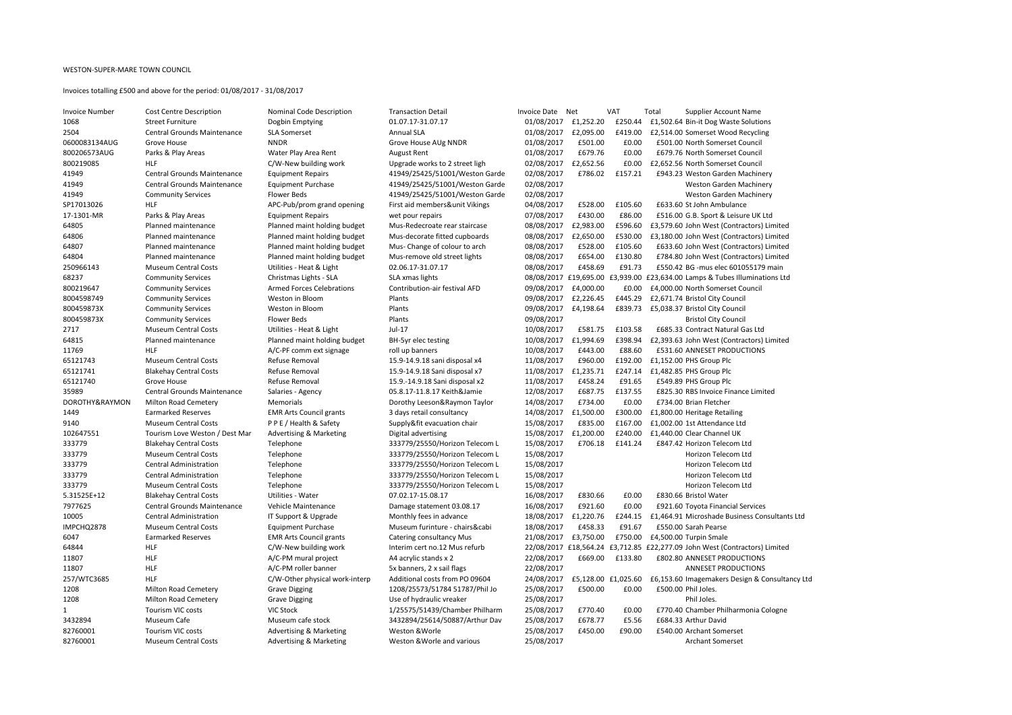## WESTON-SUPER-MARE TOWN COUNCIL

## Invoices totalling £500 and above for the period: 01/08/2017 - 31/08/2017

| Invoice Number | <b>Cost Centre Description</b>     |
|----------------|------------------------------------|
| 1068           | <b>Street Furniture</b>            |
| 2504           | <b>Central Grounds Maintenance</b> |
| 0600083134AUG  | Grove House                        |
| 800206573AUG   | Parks & Play Areas                 |
| 800219085      | HLF                                |
| 41949          | <b>Central Grounds Maintenance</b> |
| 41949          | <b>Central Grounds Maintenance</b> |
| 41949          | <b>Community Services</b>          |
| SP17013026     | HLF                                |
| 17-1301-MR     | Parks & Play Areas                 |
| 64805          | Planned maintenance                |
| 64806          | Planned maintenance                |
| 64807          | Planned maintenance                |
| 64804          | Planned maintenance                |
| 250966143      | <b>Museum Central Costs</b>        |
| 68237          | <b>Community Services</b>          |
| 800219647      | <b>Community Services</b>          |
| 8004598749     | <b>Community Services</b>          |
| 800459873X     | <b>Community Services</b>          |
| 800459873X     | <b>Community Services</b>          |
| 2717           | <b>Museum Central Costs</b>        |
| 64815          | Planned maintenance                |
| 11769          | HLF                                |
| 65121743       | <b>Museum Central Costs</b>        |
| 65121741       | <b>Blakehay Central Costs</b>      |
| 65121740       | Grove House                        |
| 35989          | <b>Central Grounds Maintenance</b> |
| DOROTHY&RAYMON | <b>Milton Road Cemetery</b>        |
| 1449           | <b>Earmarked Reserves</b>          |
| 9140           | <b>Museum Central Costs</b>        |
| 102647551      | Tourism Love Weston / Dest Ma      |
| 333779         | <b>Blakehay Central Costs</b>      |
| 333779         | <b>Museum Central Costs</b>        |
| 333779         | <b>Central Administration</b>      |
| 333779         | <b>Central Administration</b>      |
| 333779         | <b>Museum Central Costs</b>        |
| 5.31525E+12    | <b>Blakehay Central Costs</b>      |
| 7977625        | <b>Central Grounds Maintenance</b> |
| 10005          | <b>Central Administration</b>      |
| IMPCHQ2878     | <b>Museum Central Costs</b>        |
| 6047           | <b>Earmarked Reserves</b>          |
| 64844          | HLF                                |
| 11807          | <b>HLF</b>                         |
| 11807          | HLF                                |
| 257/WTC3685    | HLF                                |
| 1208           | <b>Milton Road Cemetery</b>        |
| 1208           | <b>Milton Road Cemetery</b>        |
| 1              | <b>Tourism VIC costs</b>           |
| 3432894        | Museum Cafe                        |
| 82760001       | <b>Tourism VIC costs</b>           |
| 82760001       | <b>Museum Central Costs</b>        |

| <b>Invoice Number</b> | <b>Cost Centre Description</b>     | <b>Nominal Code Description</b>    | <b>Transaction Detail</b>       | <b>Invoice Date</b>   | Net       | <b>VAT</b>          | Total<br><b>Supplier Account Name</b>                |
|-----------------------|------------------------------------|------------------------------------|---------------------------------|-----------------------|-----------|---------------------|------------------------------------------------------|
| 1068                  | <b>Street Furniture</b>            | Dogbin Emptying                    | 01.07.17-31.07.17               | 01/08/2017            | £1,252.20 | £250.44             | £1,502.64 Bin-it Dog Waste Solutions                 |
| 2504                  | <b>Central Grounds Maintenance</b> | <b>SLA Somerset</b>                | <b>Annual SLA</b>               | 01/08/2017            | £2,095.00 | £419.00             | £2,514.00 Somerset Wood Recycling                    |
| 0600083134AUG         | Grove House                        | <b>NNDR</b>                        | Grove House AUg NNDR            | 01/08/2017            | £501.00   | £0.00               | £501.00 North Somerset Council                       |
| 800206573AUG          | Parks & Play Areas                 | Water Play Area Rent               | <b>August Rent</b>              | 01/08/2017            | £679.76   | £0.00               | £679.76 North Somerset Council                       |
| 800219085             | <b>HLF</b>                         | C/W-New building work              | Upgrade works to 2 street ligh  | 02/08/2017            | £2,652.56 | £0.00               | £2,652.56 North Somerset Council                     |
| 41949                 | <b>Central Grounds Maintenance</b> | <b>Equipment Repairs</b>           | 41949/25425/51001/Weston Garde  | 02/08/2017            | £786.02   | £157.21             | £943.23 Weston Garden Machinery                      |
| 41949                 | <b>Central Grounds Maintenance</b> | <b>Equipment Purchase</b>          | 41949/25425/51001/Weston Garde  | 02/08/2017            |           |                     | <b>Weston Garden Machinery</b>                       |
| 41949                 | <b>Community Services</b>          | Flower Beds                        | 41949/25425/51001/Weston Garde  | 02/08/2017            |           |                     | <b>Weston Garden Machinery</b>                       |
| SP17013026            | <b>HLF</b>                         | APC-Pub/prom grand opening         | First aid members&unit Vikings  | 04/08/2017            | £528.00   | £105.60             | £633.60 St John Ambulance                            |
| 17-1301-MR            | Parks & Play Areas                 | <b>Equipment Repairs</b>           | wet pour repairs                | 07/08/2017            | £430.00   | £86.00              | £516.00 G.B. Sport & Leisure UK Ltd                  |
| 64805                 | Planned maintenance                | Planned maint holding budget       | Mus-Redecroate rear staircase   | 08/08/2017            | £2,983.00 | £596.60             | £3,579.60 John West (Contractors) Limited            |
| 64806                 | Planned maintenance                | Planned maint holding budget       | Mus-decorate fitted cupboards   | 08/08/2017            | £2,650.00 | £530.00             | £3,180.00 John West (Contractors) Limited            |
| 64807                 | Planned maintenance                | Planned maint holding budget       | Mus-Change of colour to arch    | 08/08/2017            | £528.00   | £105.60             | £633.60 John West (Contractors) Limited              |
| 64804                 | Planned maintenance                | Planned maint holding budget       | Mus-remove old street lights    | 08/08/2017            | £654.00   | £130.80             | £784.80 John West (Contractors) Limited              |
| 250966143             | <b>Museum Central Costs</b>        | Utilities - Heat & Light           | 02.06.17-31.07.17               | 08/08/2017            | £458.69   | £91.73              | £550.42 BG -mus elec 601055179 main                  |
| 68237                 | <b>Community Services</b>          | Christmas Lights - SLA             | SLA xmas lights                 | 08/08/2017 £19,695.00 |           | £3,939.00           | £23,634.00 Lamps & Tubes Illuminations Ltd           |
| 800219647             | <b>Community Services</b>          | <b>Armed Forces Celebrations</b>   | Contribution-air festival AFD   | 09/08/2017            | £4,000.00 | £0.00               | £4,000.00 North Somerset Council                     |
| 8004598749            | <b>Community Services</b>          | Weston in Bloom                    | Plants                          | 09/08/2017            | £2,226.45 | £445.29             | £2,671.74 Bristol City Council                       |
| 800459873X            | <b>Community Services</b>          | Weston in Bloom                    | Plants                          | 09/08/2017            | £4,198.64 | £839.73             | £5,038.37 Bristol City Council                       |
| 800459873X            | <b>Community Services</b>          | Flower Beds                        | Plants                          | 09/08/2017            |           |                     | <b>Bristol City Council</b>                          |
| 2717                  | <b>Museum Central Costs</b>        | Utilities - Heat & Light           | Jul-17                          | 10/08/2017            | £581.75   | £103.58             | £685.33 Contract Natural Gas Ltd                     |
| 64815                 | Planned maintenance                | Planned maint holding budget       | BH-5yr elec testing             | 10/08/2017            | £1,994.69 | £398.94             | £2,393.63 John West (Contractors) Limited            |
| 11769                 | <b>HLF</b>                         | A/C-PF comm ext signage            | roll up banners                 | 10/08/2017            | £443.00   | £88.60              | <b>£531.60 ANNESET PRODUCTIONS</b>                   |
| 65121743              | <b>Museum Central Costs</b>        | Refuse Removal                     | 15.9-14.9.18 sani disposal x4   | 11/08/2017            | £960.00   | £192.00             | £1,152.00 PHS Group Plc                              |
| 65121741              | <b>Blakehay Central Costs</b>      | Refuse Removal                     | 15.9-14.9.18 Sani disposal x7   | 11/08/2017            | £1,235.71 | £247.14             | £1,482.85 PHS Group Plc                              |
| 65121740              | Grove House                        | Refuse Removal                     | 15.9.-14.9.18 Sani disposal x2  | 11/08/2017            | £458.24   | £91.65              | £549.89 PHS Group Plc                                |
| 35989                 | <b>Central Grounds Maintenance</b> | Salaries - Agency                  | 05.8.17-11.8.17 Keith&Jamie     | 12/08/2017            | £687.75   | £137.55             | £825.30 RBS Invoice Finance Limited                  |
| DOROTHY&RAYMON        | <b>Milton Road Cemetery</b>        | <b>Memorials</b>                   | Dorothy Leeson&Raymon Taylor    | 14/08/2017            | £734.00   | £0.00               | £734.00 Brian Fletcher                               |
| 1449                  | <b>Earmarked Reserves</b>          | <b>EMR Arts Council grants</b>     | 3 days retail consultancy       | 14/08/2017            | £1,500.00 | £300.00             | £1,800.00 Heritage Retailing                         |
| 9140                  | <b>Museum Central Costs</b>        | PPE / Health & Safety              | Supply&fit evacuation chair     | 15/08/2017            | £835.00   | £167.00             | £1,002.00 1st Attendance Ltd                         |
| 102647551             | Tourism Love Weston / Dest Mar     | <b>Advertising &amp; Marketing</b> | Digital advertising             | 15/08/2017            | £1,200.00 | £240.00             | £1,440.00 Clear Channel UK                           |
| 333779                | <b>Blakehay Central Costs</b>      | Telephone                          | 333779/25550/Horizon Telecom L  | 15/08/2017            | £706.18   | £141.24             | £847.42 Horizon Telecom Ltd                          |
| 333779                | <b>Museum Central Costs</b>        | Telephone                          | 333779/25550/Horizon Telecom L  | 15/08/2017            |           |                     | Horizon Telecom Ltd                                  |
| 333779                | <b>Central Administration</b>      | Telephone                          | 333779/25550/Horizon Telecom L  | 15/08/2017            |           |                     | Horizon Telecom Ltd                                  |
| 333779                | <b>Central Administration</b>      | Telephone                          | 333779/25550/Horizon Telecom L  | 15/08/2017            |           |                     | Horizon Telecom Ltd                                  |
| 333779                | <b>Museum Central Costs</b>        | Telephone                          | 333779/25550/Horizon Telecom L  | 15/08/2017            |           |                     | Horizon Telecom Ltd                                  |
| 5.31525E+12           | <b>Blakehay Central Costs</b>      | <b>Utilities - Water</b>           | 07.02.17-15.08.17               | 16/08/2017            | £830.66   | £0.00               | £830.66 Bristol Water                                |
| 7977625               | <b>Central Grounds Maintenance</b> | <b>Vehicle Maintenance</b>         | Damage statement 03.08.17       | 16/08/2017            | £921.60   | £0.00               | £921.60 Toyota Financial Services                    |
| 10005                 | <b>Central Administration</b>      | IT Support & Upgrade               | Monthly fees in advance         | 18/08/2017            | £1,220.76 | £244.15             | £1,464.91 Microshade Business Consultants Ltd        |
| IMPCHQ2878            | <b>Museum Central Costs</b>        | <b>Equipment Purchase</b>          | Museum furinture - chairs&cabi  | 18/08/2017            | £458.33   | £91.67              | £550.00 Sarah Pearse                                 |
| 6047                  | <b>Earmarked Reserves</b>          | <b>EMR Arts Council grants</b>     | <b>Catering consultancy Mus</b> | 21/08/2017            | £3,750.00 | £750.00             | £4,500.00 Turpin Smale                               |
| 64844                 | <b>HLF</b>                         | C/W-New building work              | Interim cert no.12 Mus refurb   | 22/08/2017 £18,564.24 |           |                     | £3,712.85 £22,277.09 John West (Contractors) Limited |
| 11807                 | <b>HLF</b>                         | A/C-PM mural project               | A4 acrylic stands x 2           | 22/08/2017            | £669.00   | £133.80             | <b>£802.80 ANNESET PRODUCTIONS</b>                   |
| 11807                 | <b>HLF</b>                         | A/C-PM roller banner               | 5x banners, 2 x sail flags      | 22/08/2017            |           |                     | <b>ANNESET PRODUCTIONS</b>                           |
| 257/WTC3685           | <b>HLF</b>                         | C/W-Other physical work-interp     | Additional costs from PO 09604  | 24/08/2017            |           | £5,128.00 £1,025.60 | £6,153.60 Imagemakers Design & Consultancy Ltd       |
| 1208                  | <b>Milton Road Cemetery</b>        | <b>Grave Digging</b>               | 1208/25573/51784 51787/Phil Jo  | 25/08/2017            | £500.00   | £0.00               | £500.00 Phil Joles.                                  |
| 1208                  | <b>Milton Road Cemetery</b>        | <b>Grave Digging</b>               | Use of hydraulic vreaker        | 25/08/2017            |           |                     | Phil Joles.                                          |
|                       | <b>Tourism VIC costs</b>           | <b>VIC Stock</b>                   | 1/25575/51439/Chamber Philharm  | 25/08/2017            | £770.40   | £0.00               | £770.40 Chamber Philharmonia Cologne                 |
| 3432894               | Museum Cafe                        | Museum cafe stock                  | 3432894/25614/50887/Arthur Dav  | 25/08/2017            | £678.77   | £5.56               | £684.33 Arthur David                                 |
| 82760001              | <b>Tourism VIC costs</b>           | <b>Advertising &amp; Marketing</b> | Weston & Worle                  | 25/08/2017            | £450.00   | £90.00              | £540.00 Archant Somerset                             |
| 82760001              | <b>Museum Central Costs</b>        | <b>Advertising &amp; Marketing</b> | Weston & Worle and various      | 25/08/2017            |           |                     | <b>Archant Somerset</b>                              |
|                       |                                    |                                    |                                 |                       |           |                     |                                                      |